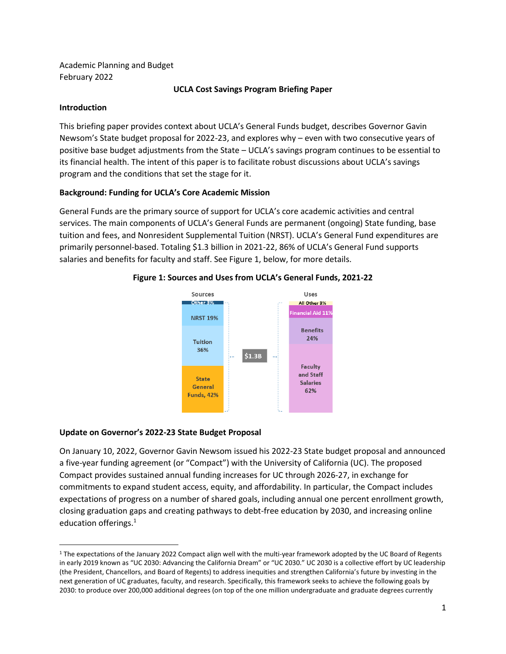Academic Planning and Budget February 2022

### **UCLA Cost Savings Program Briefing Paper**

## **Introduction**

 $\overline{a}$ 

This briefing paper provides context about UCLA's General Funds budget, describes Governor Gavin Newsom's State budget proposal for 2022-23, and explores why – even with two consecutive years of positive base budget adjustments from the State – UCLA's savings program continues to be essential to its financial health. The intent of this paper is to facilitate robust discussions about UCLA's savings program and the conditions that set the stage for it.

## **Background: Funding for UCLA's Core Academic Mission**

General Funds are the primary source of support for UCLA's core academic activities and central services. The main components of UCLA's General Funds are permanent (ongoing) State funding, base tuition and fees, and Nonresident Supplemental Tuition (NRST). UCLA's General Fund expenditures are primarily personnel-based. Totaling \$1.3 billion in 2021-22, 86% of UCLA's General Fund supports salaries and benefits for faculty and staff. See Figure 1, below, for more details.



# **Figure 1: Sources and Uses from UCLA's General Funds, 2021-22**

### **Update on Governor's 2022-23 State Budget Proposal**

On January 10, 2022, Governor Gavin Newsom issued his 2022-23 State budget proposal and announced a five-year funding agreement (or "Compact") with the University of California (UC). The proposed Compact provides sustained annual funding increases for UC through 2026-27, in exchange for commitments to expand student access, equity, and affordability. In particular, the Compact includes expectations of progress on a number of shared goals, including annual one percent enrollment growth, closing graduation gaps and creating pathways to debt-free education by 2030, and increasing online education offerings. 1

<sup>&</sup>lt;sup>1</sup> The expectations of the January 2022 Compact align well with the multi-year framework adopted by the UC Board of Regents in early 2019 known as "UC 2030: Advancing the California Dream" or "UC 2030." UC 2030 is a collective effort by UC leadership (the President, Chancellors, and Board of Regents) to address inequities and strengthen California's future by investing in the next generation of UC graduates, faculty, and research. Specifically, this framework seeks to achieve the following goals by 2030: to produce over 200,000 additional degrees (on top of the one million undergraduate and graduate degrees currently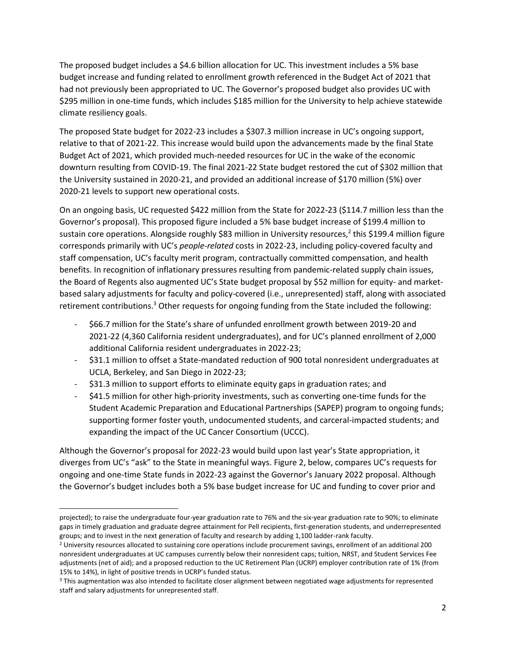The proposed budget includes a \$4.6 billion allocation for UC. This investment includes a 5% base budget increase and funding related to enrollment growth referenced in the Budget Act of 2021 that had not previously been appropriated to UC. The Governor's proposed budget also provides UC with \$295 million in one-time funds, which includes \$185 million for the University to help achieve statewide climate resiliency goals.

The proposed State budget for 2022-23 includes a \$307.3 million increase in UC's ongoing support, relative to that of 2021-22. This increase would build upon the advancements made by the final State Budget Act of 2021, which provided much-needed resources for UC in the wake of the economic downturn resulting from COVID-19. The final 2021-22 State budget restored the cut of \$302 million that the University sustained in 2020-21, and provided an additional increase of \$170 million (5%) over 2020-21 levels to support new operational costs.

On an ongoing basis, UC requested \$422 million from the State for 2022-23 (\$114.7 million less than the Governor's proposal). This proposed figure included a 5% base budget increase of \$199.4 million to sustain core operations. Alongside roughly \$83 million in University resources,<sup>2</sup> this \$199.4 million figure corresponds primarily with UC's *people-related* costs in 2022-23, including policy-covered faculty and staff compensation, UC's faculty merit program, contractually committed compensation, and health benefits. In recognition of inflationary pressures resulting from pandemic-related supply chain issues, the Board of Regents also augmented UC's State budget proposal by \$52 million for equity- and marketbased salary adjustments for faculty and policy-covered (i.e., unrepresented) staff, along with associated retirement contributions.<sup>3</sup> Other requests for ongoing funding from the State included the following:

- \$66.7 million for the State's share of unfunded enrollment growth between 2019-20 and 2021-22 (4,360 California resident undergraduates), and for UC's planned enrollment of 2,000 additional California resident undergraduates in 2022-23;
- \$31.1 million to offset a State-mandated reduction of 900 total nonresident undergraduates at UCLA, Berkeley, and San Diego in 2022-23;
- \$31.3 million to support efforts to eliminate equity gaps in graduation rates; and
- \$41.5 million for other high-priority investments, such as converting one-time funds for the Student Academic Preparation and Educational Partnerships (SAPEP) program to ongoing funds; supporting former foster youth, undocumented students, and carceral-impacted students; and expanding the impact of the UC Cancer Consortium (UCCC).

Although the Governor's proposal for 2022-23 would build upon last year's State appropriation, it diverges from UC's "ask" to the State in meaningful ways. Figure 2, below, compares UC's requests for ongoing and one-time State funds in 2022-23 against the Governor's January 2022 proposal. Although the Governor's budget includes both a 5% base budget increase for UC and funding to cover prior and

 $\overline{\phantom{a}}$ 

projected); to raise the undergraduate four-year graduation rate to 76% and the six-year graduation rate to 90%; to eliminate gaps in timely graduation and graduate degree attainment for Pell recipients, first-generation students, and underrepresented groups; and to invest in the next generation of faculty and research by adding 1,100 ladder-rank faculty.

<sup>2</sup> University resources allocated to sustaining core operations include procurement savings, enrollment of an additional 200 nonresident undergraduates at UC campuses currently below their nonresident caps; tuition, NRST, and Student Services Fee adjustments (net of aid); and a proposed reduction to the UC Retirement Plan (UCRP) employer contribution rate of 1% (from 15% to 14%), in light of positive trends in UCRP's funded status.

<sup>&</sup>lt;sup>3</sup> This augmentation was also intended to facilitate closer alignment between negotiated wage adjustments for represented staff and salary adjustments for unrepresented staff.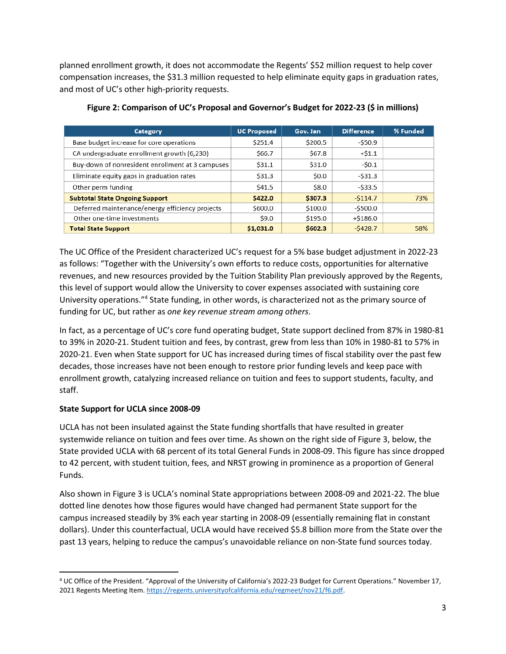planned enrollment growth, it does not accommodate the Regents' \$52 million request to help cover compensation increases, the \$31.3 million requested to help eliminate equity gaps in graduation rates, and most of UC's other high-priority requests.

| Category                                         | <b>UC Proposed</b> | Gov. Jan | <b>Difference</b> | % Funded |
|--------------------------------------------------|--------------------|----------|-------------------|----------|
| Base budget increase for core operations         | \$251.4            | \$200.5  | -\$50.9           |          |
| CA undergraduate enrollment growth (6,230)       | \$66.7             | \$67.8   | $+ $1.1$          |          |
| Buy-down of nonresident enrollment at 3 campuses | \$31.1             | \$31.0   | $-50.1$           |          |
| Eliminate equity gaps in graduation rates        | \$31.3             | \$0.0    | $-531.3$          |          |
| Other perm funding                               | \$41.5             | \$8.0    | $-533.5$          |          |
| <b>Subtotal State Ongoing Support</b>            | \$422.0            | \$307.3  | $-5114.7$         | 73%      |
| Deferred maintenance/energy efficiency projects  | \$600.0            | \$100.0  | $-$ \$500.0       |          |
| Other one-time investments                       | \$9.0              | \$195.0  | $+ $186.0$        |          |
| <b>Total State Support</b>                       | \$1,031.0          | \$602.3  | $-5428.7$         | 58%      |

**Figure 2: Comparison of UC's Proposal and Governor's Budget for 2022-23 (\$ in millions)**

The UC Office of the President characterized UC's request for a 5% base budget adjustment in 2022-23 as follows: "Together with the University's own efforts to reduce costs, opportunities for alternative revenues, and new resources provided by the Tuition Stability Plan previously approved by the Regents, this level of support would allow the University to cover expenses associated with sustaining core University operations."<sup>4</sup> State funding, in other words, is characterized not as the primary source of funding for UC, but rather as *one key revenue stream among others*.

In fact, as a percentage of UC's core fund operating budget, State support declined from 87% in 1980-81 to 39% in 2020-21. Student tuition and fees, by contrast, grew from less than 10% in 1980-81 to 57% in 2020-21. Even when State support for UC has increased during times of fiscal stability over the past few decades, those increases have not been enough to restore prior funding levels and keep pace with enrollment growth, catalyzing increased reliance on tuition and fees to support students, faculty, and staff.

# **State Support for UCLA since 2008-09**

 $\overline{a}$ 

UCLA has not been insulated against the State funding shortfalls that have resulted in greater systemwide reliance on tuition and fees over time. As shown on the right side of Figure 3, below, the State provided UCLA with 68 percent of its total General Funds in 2008-09. This figure has since dropped to 42 percent, with student tuition, fees, and NRST growing in prominence as a proportion of General Funds.

Also shown in Figure 3 is UCLA's nominal State appropriations between 2008-09 and 2021-22. The blue dotted line denotes how those figures would have changed had permanent State support for the campus increased steadily by 3% each year starting in 2008-09 (essentially remaining flat in constant dollars). Under this counterfactual, UCLA would have received \$5.8 billion more from the State over the past 13 years, helping to reduce the campus's unavoidable reliance on non-State fund sources today.

<sup>4</sup> UC Office of the President. "Approval of the University of California's 2022-23 Budget for Current Operations." November 17, 2021 Regents Meeting Item. https://regents.universityofcalifornia.edu/regmeet/nov21/f6.pdf.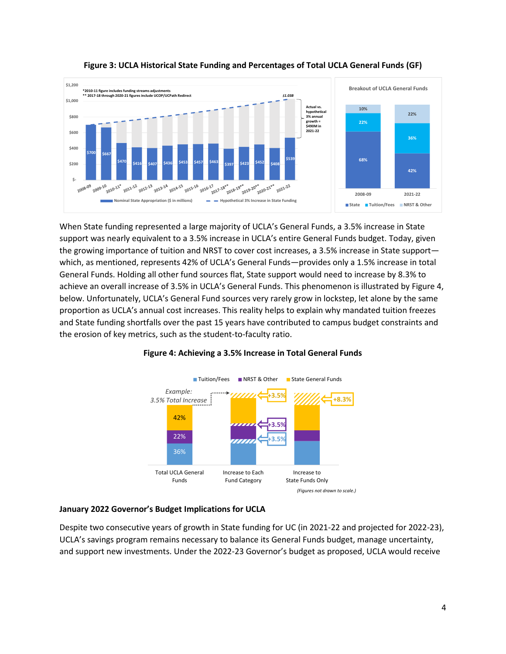



When State funding represented a large majority of UCLA's General Funds, a 3.5% increase in State support was nearly equivalent to a 3.5% increase in UCLA's entire General Funds budget. Today, given the growing importance of tuition and NRST to cover cost increases, a 3.5% increase in State support which, as mentioned, represents 42% of UCLA's General Funds—provides only a 1.5% increase in total General Funds. Holding all other fund sources flat, State support would need to increase by 8.3% to achieve an overall increase of 3.5% in UCLA's General Funds. This phenomenon is illustrated by Figure 4, below. Unfortunately, UCLA's General Fund sources very rarely grow in lockstep, let alone by the same proportion as UCLA's annual cost increases. This reality helps to explain why mandated tuition freezes and State funding shortfalls over the past 15 years have contributed to campus budget constraints and the erosion of key metrics, such as the student-to-faculty ratio.



### **Figure 4: Achieving a 3.5% Increase in Total General Funds**

### **January 2022 Governor's Budget Implications for UCLA**

Despite two consecutive years of growth in State funding for UC (in 2021-22 and projected for 2022-23), UCLA's savings program remains necessary to balance its General Funds budget, manage uncertainty, and support new investments. Under the 2022-23 Governor's budget as proposed, UCLA would receive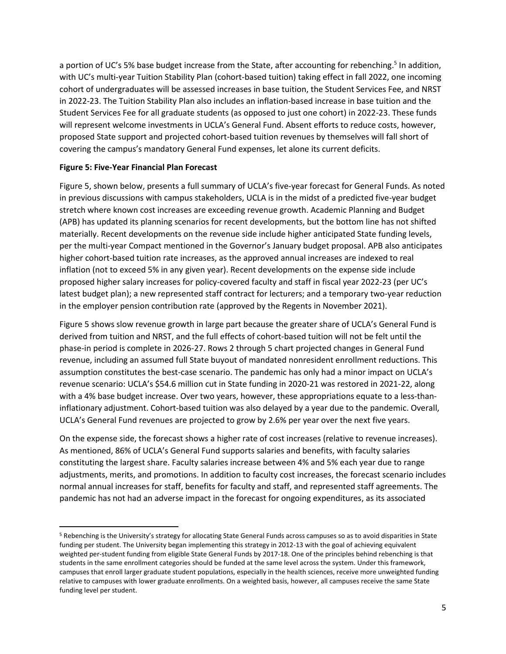a portion of UC's 5% base budget increase from the State, after accounting for rebenching.<sup>5</sup> In addition, with UC's multi-year Tuition Stability Plan (cohort-based tuition) taking effect in fall 2022, one incoming cohort of undergraduates will be assessed increases in base tuition, the Student Services Fee, and NRST in 2022-23. The Tuition Stability Plan also includes an inflation-based increase in base tuition and the Student Services Fee for all graduate students (as opposed to just one cohort) in 2022-23. These funds will represent welcome investments in UCLA's General Fund. Absent efforts to reduce costs, however, proposed State support and projected cohort-based tuition revenues by themselves will fall short of covering the campus's mandatory General Fund expenses, let alone its current deficits.

#### **Figure 5: Five-Year Financial Plan Forecast**

 $\overline{\phantom{a}}$ 

Figure 5, shown below, presents a full summary of UCLA's five-year forecast for General Funds. As noted in previous discussions with campus stakeholders, UCLA is in the midst of a predicted five-year budget stretch where known cost increases are exceeding revenue growth. Academic Planning and Budget (APB) has updated its planning scenarios for recent developments, but the bottom line has not shifted materially. Recent developments on the revenue side include higher anticipated State funding levels, per the multi-year Compact mentioned in the Governor's January budget proposal. APB also anticipates higher cohort-based tuition rate increases, as the approved annual increases are indexed to real inflation (not to exceed 5% in any given year). Recent developments on the expense side include proposed higher salary increases for policy-covered faculty and staff in fiscal year 2022-23 (per UC's latest budget plan); a new represented staff contract for lecturers; and a temporary two-year reduction in the employer pension contribution rate (approved by the Regents in November 2021).

Figure 5 shows slow revenue growth in large part because the greater share of UCLA's General Fund is derived from tuition and NRST, and the full effects of cohort-based tuition will not be felt until the phase-in period is complete in 2026-27. Rows 2 through 5 chart projected changes in General Fund revenue, including an assumed full State buyout of mandated nonresident enrollment reductions. This assumption constitutes the best-case scenario. The pandemic has only had a minor impact on UCLA's revenue scenario: UCLA's \$54.6 million cut in State funding in 2020-21 was restored in 2021-22, along with a 4% base budget increase. Over two years, however, these appropriations equate to a less-thaninflationary adjustment. Cohort-based tuition was also delayed by a year due to the pandemic. Overall, UCLA's General Fund revenues are projected to grow by 2.6% per year over the next five years.

On the expense side, the forecast shows a higher rate of cost increases (relative to revenue increases). As mentioned, 86% of UCLA's General Fund supports salaries and benefits, with faculty salaries constituting the largest share. Faculty salaries increase between 4% and 5% each year due to range adjustments, merits, and promotions. In addition to faculty cost increases, the forecast scenario includes normal annual increases for staff, benefits for faculty and staff, and represented staff agreements. The pandemic has not had an adverse impact in the forecast for ongoing expenditures, as its associated

<sup>5</sup> Rebenching is the University's strategy for allocating State General Funds across campuses so as to avoid disparities in State funding per student. The University began implementing this strategy in 2012-13 with the goal of achieving equivalent weighted per-student funding from eligible State General Funds by 2017-18. One of the principles behind rebenching is that students in the same enrollment categories should be funded at the same level across the system. Under this framework, campuses that enroll larger graduate student populations, especially in the health sciences, receive more unweighted funding relative to campuses with lower graduate enrollments. On a weighted basis, however, all campuses receive the same State funding level per student.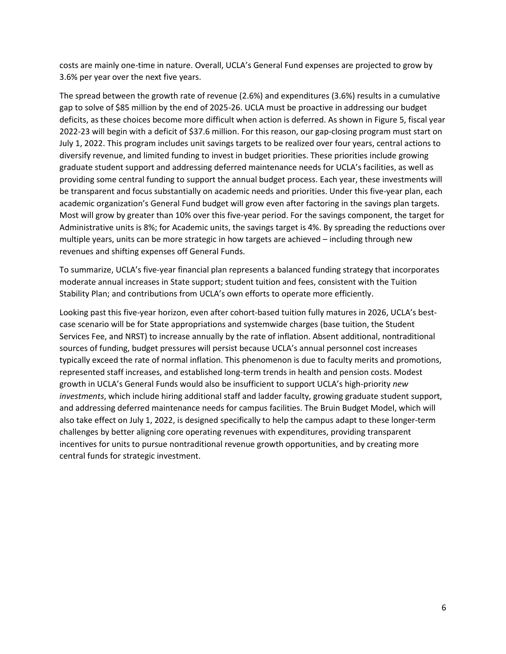costs are mainly one-time in nature. Overall, UCLA's General Fund expenses are projected to grow by 3.6% per year over the next five years.

The spread between the growth rate of revenue (2.6%) and expenditures (3.6%) results in a cumulative gap to solve of \$85 million by the end of 2025-26. UCLA must be proactive in addressing our budget deficits, as these choices become more difficult when action is deferred. As shown in Figure 5, fiscal year 2022-23 will begin with a deficit of \$37.6 million. For this reason, our gap-closing program must start on July 1, 2022. This program includes unit savings targets to be realized over four years, central actions to diversify revenue, and limited funding to invest in budget priorities. These priorities include growing graduate student support and addressing deferred maintenance needs for UCLA's facilities, as well as providing some central funding to support the annual budget process. Each year, these investments will be transparent and focus substantially on academic needs and priorities. Under this five-year plan, each academic organization's General Fund budget will grow even after factoring in the savings plan targets. Most will grow by greater than 10% over this five-year period. For the savings component, the target for Administrative units is 8%; for Academic units, the savings target is 4%. By spreading the reductions over multiple years, units can be more strategic in how targets are achieved – including through new revenues and shifting expenses off General Funds.

To summarize, UCLA's five-year financial plan represents a balanced funding strategy that incorporates moderate annual increases in State support; student tuition and fees, consistent with the Tuition Stability Plan; and contributions from UCLA's own efforts to operate more efficiently.

Looking past this five-year horizon, even after cohort-based tuition fully matures in 2026, UCLA's bestcase scenario will be for State appropriations and systemwide charges (base tuition, the Student Services Fee, and NRST) to increase annually by the rate of inflation. Absent additional, nontraditional sources of funding, budget pressures will persist because UCLA's annual personnel cost increases typically exceed the rate of normal inflation. This phenomenon is due to faculty merits and promotions, represented staff increases, and established long-term trends in health and pension costs. Modest growth in UCLA's General Funds would also be insufficient to support UCLA's high-priority *new investments*, which include hiring additional staff and ladder faculty, growing graduate student support, and addressing deferred maintenance needs for campus facilities. The Bruin Budget Model, which will also take effect on July 1, 2022, is designed specifically to help the campus adapt to these longer-term challenges by better aligning core operating revenues with expenditures, providing transparent incentives for units to pursue nontraditional revenue growth opportunities, and by creating more central funds for strategic investment.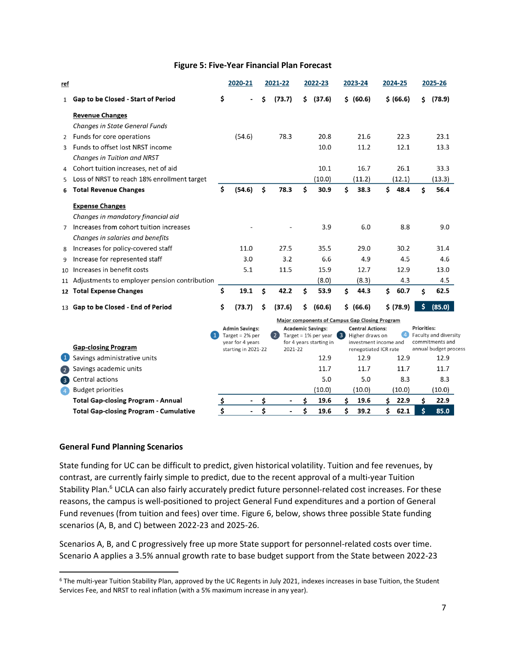#### **Figure 5: Five-Year Financial Plan Forecast**

| ref               |                                                 |                                                                                       | 2020-21                  |                                                                                         | 2021-22        |                                                | 2022-23                                    |    | 2023-24               |                    | 2024-25               |                       | 2025-26 |  |
|-------------------|-------------------------------------------------|---------------------------------------------------------------------------------------|--------------------------|-----------------------------------------------------------------------------------------|----------------|------------------------------------------------|--------------------------------------------|----|-----------------------|--------------------|-----------------------|-----------------------|---------|--|
| $\mathbf{1}$      | Gap to be Closed - Start of Period              | \$                                                                                    |                          | Ś                                                                                       | (73.7)         | \$                                             | (37.6)                                     |    | \$ (60.6)             |                    | \$ (66.6)             | \$.                   | (78.9)  |  |
|                   | <b>Revenue Changes</b>                          |                                                                                       |                          |                                                                                         |                |                                                |                                            |    |                       |                    |                       |                       |         |  |
|                   | Changes in State General Funds                  |                                                                                       |                          |                                                                                         |                |                                                |                                            |    |                       |                    |                       |                       |         |  |
|                   | 2 Funds for core operations                     |                                                                                       | (54.6)                   |                                                                                         | 78.3           |                                                | 20.8                                       |    | 21.6                  |                    | 22.3                  |                       | 23.1    |  |
|                   | 3 Funds to offset lost NRST income              |                                                                                       |                          |                                                                                         |                |                                                | 10.0                                       |    | 11.2                  |                    | 12.1                  |                       | 13.3    |  |
|                   | Changes in Tuition and NRST                     |                                                                                       |                          |                                                                                         |                |                                                |                                            |    |                       |                    |                       |                       |         |  |
| 4                 | Cohort tuition increases, net of aid            |                                                                                       |                          |                                                                                         |                |                                                | 10.1                                       |    | 16.7                  |                    | 26.1                  |                       | 33.3    |  |
| 5                 | Loss of NRST to reach 18% enrollment target     |                                                                                       |                          |                                                                                         |                |                                                | (10.0)                                     |    | (11.2)                |                    | (12.1)                |                       | (13.3)  |  |
| 6                 | <b>Total Revenue Changes</b>                    | \$                                                                                    | (54.6)                   | \$                                                                                      | 78.3           | Ś                                              | 30.9                                       | Ś  | 38.3                  | \$                 | 48.4                  | Ś                     | 56.4    |  |
|                   | <b>Expense Changes</b>                          |                                                                                       |                          |                                                                                         |                |                                                |                                            |    |                       |                    |                       |                       |         |  |
|                   | Changes in mandatory financial aid              |                                                                                       |                          |                                                                                         |                |                                                |                                            |    |                       |                    |                       |                       |         |  |
|                   | 7 Increases from cohort tuition increases       |                                                                                       |                          |                                                                                         |                |                                                | 3.9                                        |    | 6.0                   |                    | 8.8                   |                       | 9.0     |  |
|                   | Changes in salaries and benefits                |                                                                                       |                          |                                                                                         |                |                                                |                                            |    |                       |                    |                       |                       |         |  |
| 8                 | Increases for policy-covered staff              |                                                                                       | 11.0                     |                                                                                         | 27.5           |                                                | 35.5                                       |    | 29.0                  |                    | 30.2                  |                       | 31.4    |  |
| 9                 | Increase for represented staff                  |                                                                                       | 3.0                      |                                                                                         | 3.2            |                                                | 6.6                                        |    | 4.9                   |                    | 4.5                   |                       | 4.6     |  |
|                   | 10 Increases in benefit costs                   |                                                                                       | 5.1                      |                                                                                         | 11.5           |                                                | 15.9                                       |    | 12.7                  |                    | 12.9                  |                       | 13.0    |  |
|                   | 11 Adjustments to employer pension contribution |                                                                                       |                          |                                                                                         |                |                                                | (8.0)                                      |    | (8.3)                 |                    | 4.3                   |                       | 4.5     |  |
|                   | 12 Total Expense Changes                        | \$                                                                                    | 19.1                     | \$                                                                                      | 42.2           | Ś                                              | 53.9                                       | \$ | 44.3                  | \$                 | 60.7                  | Ś                     | 62.5    |  |
|                   | 13 Gap to be Closed - End of Period             | \$                                                                                    | (73.7)                   | \$                                                                                      | (37.6)         | \$                                             | (60.6)                                     |    | \$ (66.6)             |                    | \$ (78.9)             | \$                    | (85.0)  |  |
|                   |                                                 |                                                                                       |                          |                                                                                         |                | Major components of Campus Gap Closing Program |                                            |    |                       |                    |                       |                       |         |  |
|                   |                                                 | <b>Admin Savings:</b><br>Target = $2%$ per<br>year for 4 years<br>starting in 2021-22 |                          | <b>Academic Savings:</b><br>(2)<br>Target = $1\%$ per year 3<br>for 4 years starting in |                |                                                | <b>Central Actions:</b><br>Higher draws on |    | $\left( 4 \right)$    | <b>Priorities:</b> | Faculty and diversity |                       |         |  |
|                   |                                                 |                                                                                       |                          |                                                                                         |                | investment income and                          |                                            |    |                       | commitments and    |                       |                       |         |  |
|                   | <b>Gap-closing Program</b>                      |                                                                                       |                          |                                                                                         | 2021-22        |                                                |                                            |    | renegotiated ICR rate |                    |                       | annual budget process |         |  |
|                   | Savings administrative units                    |                                                                                       |                          |                                                                                         |                |                                                | 12.9                                       |    | 12.9                  |                    | 12.9                  |                       | 12.9    |  |
| $\left( 2\right)$ | Savings academic units                          |                                                                                       |                          |                                                                                         |                |                                                | 11.7                                       |    | 11.7                  |                    | 11.7                  |                       | 11.7    |  |
| $\left(3\right)$  | Central actions                                 |                                                                                       |                          |                                                                                         |                |                                                | 5.0                                        |    | 5.0                   |                    | 8.3                   |                       | 8.3     |  |
| $\bullet$         | <b>Budget priorities</b>                        |                                                                                       |                          |                                                                                         |                |                                                | (10.0)                                     |    | (10.0)                |                    | (10.0)                |                       | (10.0)  |  |
|                   | <b>Total Gap-closing Program - Annual</b>       | <u>ډ</u>                                                                              |                          | \$                                                                                      |                | \$                                             | 19.6                                       | Ś. | 19.6                  | Ś                  | 22.9                  | Ś.                    | 22.9    |  |
|                   | <b>Total Gap-closing Program - Cumulative</b>   | Ś                                                                                     | $\overline{\phantom{a}}$ | \$                                                                                      | $\overline{a}$ | \$                                             | 19.6                                       | \$ | 39.2                  | Ś                  | 62.1                  | \$                    | 85.0    |  |

#### **General Fund Planning Scenarios**

 $\overline{a}$ 

State funding for UC can be difficult to predict, given historical volatility. Tuition and fee revenues, by contrast, are currently fairly simple to predict, due to the recent approval of a multi-year Tuition Stability Plan.<sup>6</sup> UCLA can also fairly accurately predict future personnel-related cost increases. For these reasons, the campus is well-positioned to project General Fund expenditures and a portion of General Fund revenues (from tuition and fees) over time. Figure 6, below, shows three possible State funding scenarios (A, B, and C) between 2022-23 and 2025-26.

Scenarios A, B, and C progressively free up more State support for personnel-related costs over time. Scenario A applies a 3.5% annual growth rate to base budget support from the State between 2022-23

<sup>6</sup> The multi-year Tuition Stability Plan, approved by the UC Regents in July 2021, indexes increases in base Tuition, the Student Services Fee, and NRST to real inflation (with a 5% maximum increase in any year).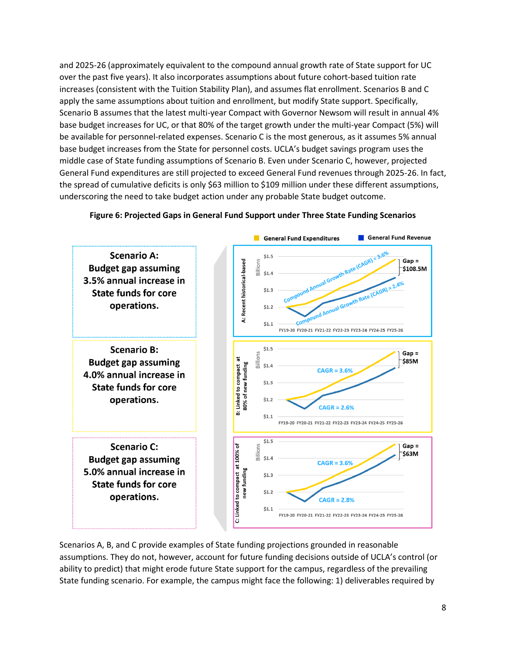and 2025-26 (approximately equivalent to the compound annual growth rate of State support for UC over the past five years). It also incorporates assumptions about future cohort-based tuition rate increases (consistent with the Tuition Stability Plan), and assumes flat enrollment. Scenarios B and C apply the same assumptions about tuition and enrollment, but modify State support. Specifically, Scenario B assumes that the latest multi-year Compact with Governor Newsom will result in annual 4% base budget increases for UC, or that 80% of the target growth under the multi-year Compact (5%) will be available for personnel-related expenses. Scenario C is the most generous, as it assumes 5% annual base budget increases from the State for personnel costs. UCLA's budget savings program uses the middle case of State funding assumptions of Scenario B. Even under Scenario C, however, projected General Fund expenditures are still projected to exceed General Fund revenues through 2025-26. In fact, the spread of cumulative deficits is only \$63 million to \$109 million under these different assumptions, underscoring the need to take budget action under any probable State budget outcome.



# **Figure 6: Projected Gaps in General Fund Support under Three State Funding Scenarios**

Scenarios A, B, and C provide examples of State funding projections grounded in reasonable assumptions. They do not, however, account for future funding decisions outside of UCLA's control (or ability to predict) that might erode future State support for the campus, regardless of the prevailing State funding scenario. For example, the campus might face the following: 1) deliverables required by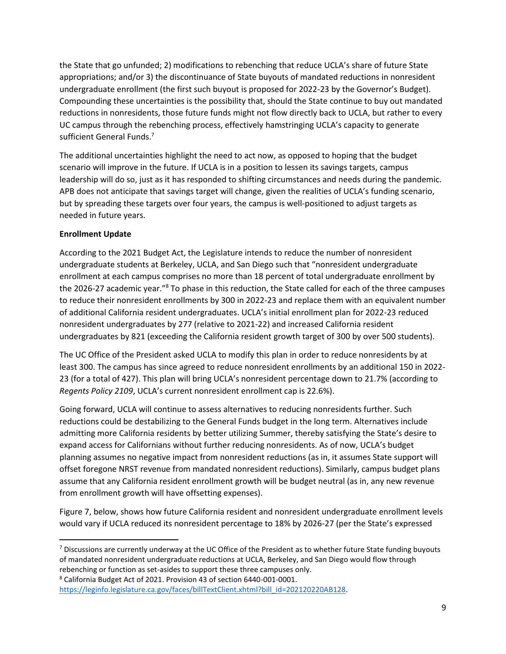the State that go unfunded; 2) modifications to rebenching that reduce UCLA's share of future State appropriations; and/or 3) the discontinuance of State buyouts of mandated reductions in nonresident undergraduate enrollment (the first such buyout is proposed for 2022-23 by the Governor's Budget). Compounding these uncertainties is the possibility that, should the State continue to buy out mandated reductions in nonresidents, those future funds might not flow directly back to UCLA, but rather to every UC campus through the rebenching process, effectively hamstringing UCLA's capacity to generate sufficient General Funds.<sup>7</sup>

The additional uncertainties highlight the need to act now, as opposed to hoping that the budget scenario will improve in the future. If UCLA is in a position to lessen its savings targets, campus leadership will do so, just as it has responded to shifting circumstances and needs during the pandemic. APB does not anticipate that savings target will change, given the realities of UCLA's funding scenario, but by spreading these targets over four years, the campus is well-positioned to adjust targets as needed in future years.

# **Enrollment Update**

 $\overline{\phantom{a}}$ 

According to the 2021 Budget Act, the Legislature intends to reduce the number of nonresident undergraduate students at Berkeley, UCLA, and San Diego such that "nonresident undergraduate enrollment at each campus comprises no more than 18 percent of total undergraduate enrollment by the 2026-27 academic year."<sup>8</sup> To phase in this reduction, the State called for each of the three campuses to reduce their nonresident enrollments by 300 in 2022-23 and replace them with an equivalent number of additional California resident undergraduates. UCLA's initial enrollment plan for 2022-23 reduced nonresident undergraduates by 277 (relative to 2021-22) and increased California resident undergraduates by 821 (exceeding the California resident growth target of 300 by over 500 students).

The UC Office of the President asked UCLA to modify this plan in order to reduce nonresidents by at least 300. The campus has since agreed to reduce nonresident enrollments by an additional 150 in 2022- 23 (for a total of 427). This plan will bring UCLA's nonresident percentage down to 21.7% (according to *Regents Policy 2109*, UCLA's current nonresident enrollment cap is 22.6%).

Going forward, UCLA will continue to assess alternatives to reducing nonresidents further. Such reductions could be destabilizing to the General Funds budget in the long term. Alternatives include admitting more California residents by better utilizing Summer, thereby satisfying the State's desire to expand access for Californians without further reducing nonresidents. As of now, UCLA's budget planning assumes no negative impact from nonresident reductions (as in, it assumes State support will offset foregone NRST revenue from mandated nonresident reductions). Similarly, campus budget plans assume that any California resident enrollment growth will be budget neutral (as in, any new revenue from enrollment growth will have offsetting expenses).

Figure 7, below, shows how future California resident and nonresident undergraduate enrollment levels would vary if UCLA reduced its nonresident percentage to 18% by 2026-27 (per the State's expressed

<sup>&</sup>lt;sup>7</sup> Discussions are currently underway at the UC Office of the President as to whether future State funding buyouts of mandated nonresident undergraduate reductions at UCLA, Berkeley, and San Diego would flow through rebenching or function as set-asides to support these three campuses only.

<sup>8</sup> California Budget Act of 2021. Provision 43 of section 6440-001-0001.

[https://leginfo.legislature.ca.gov/faces/billTextClient.xhtml?bill\\_id=202120220AB128.](https://leginfo.legislature.ca.gov/faces/billTextClient.xhtml?bill_id=202120220AB128)